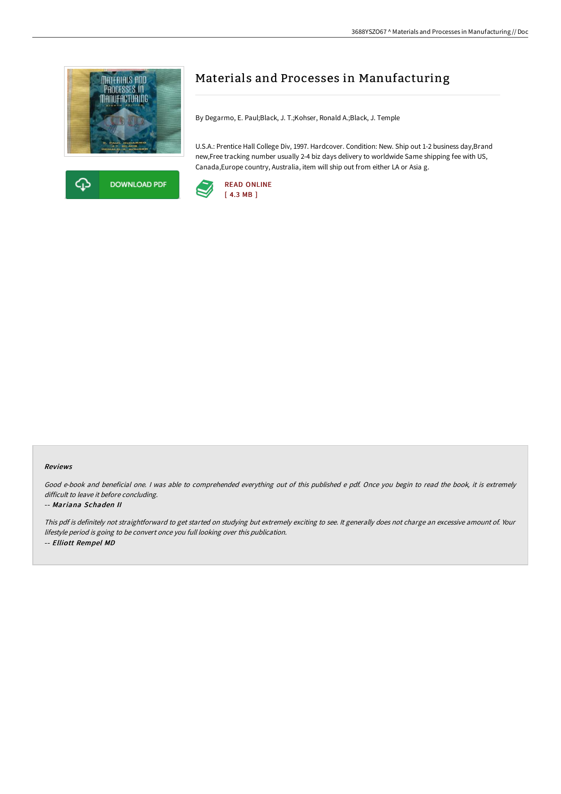



# Materials and Processes in Manufacturing

By Degarmo, E. Paul;Black, J. T.;Kohser, Ronald A.;Black, J. Temple

U.S.A.: Prentice Hall College Div, 1997. Hardcover. Condition: New. Ship out 1-2 business day,Brand new,Free tracking number usually 2-4 biz days delivery to worldwide Same shipping fee with US, Canada,Europe country, Australia, item will ship out from either LA or Asia g.



#### Reviews

Good e-book and beneficial one. <sup>I</sup> was able to comprehended everything out of this published <sup>e</sup> pdf. Once you begin to read the book, it is extremely difficult to leave it before concluding.

#### -- Mariana Schaden II

This pdf is definitely not straightforward to get started on studying but extremely exciting to see. It generally does not charge an excessive amount of. Your lifestyle period is going to be convert once you full looking over this publication. -- Elliott Rempel MD